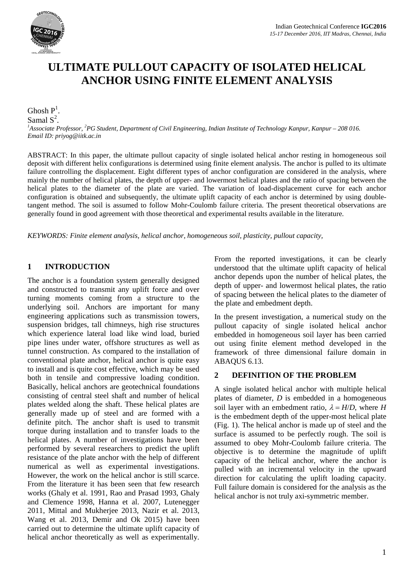

# **ULTIMATE PULLOUT CAPACITY OF ISOLATED HELICAL ANCHOR USING FINITE ELEMENT ANALYSIS**

Ghosh  $P^1$ .

Samal  $S^2$ .

*Associate Professor, 2 PG Student, Department of Civil Engineering, Indian Institute of Technology Kanpur, Kanpur – 208 016. Email ID: priyog@iitk.ac.in*

ABSTRACT: In this paper, the ultimate pullout capacity of single isolated helical anchor resting in homogeneous soil deposit with different helix configurations is determined using finite element analysis. The anchor is pulled to its ultimate failure controlling the displacement. Eight different types of anchor configuration are considered in the analysis, where mainly the number of helical plates, the depth of upper- and lowermost helical plates and the ratio of spacing between the helical plates to the diameter of the plate are varied. The variation of load-displacement curve for each anchor configuration is obtained and subsequently, the ultimate uplift capacity of each anchor is determined by using doubletangent method. The soil is assumed to follow Mohr-Coulomb failure criteria. The present theoretical observations are generally found in good agreement with those theoretical and experimental results available in the literature.

*KEYWORDS: Finite element analysis, helical anchor, homogeneous soil, plasticity, pullout capacity,*

#### **1 INTRODUCTION**

The anchor is a foundation system generally designed and constructed to transmit any uplift force and over turning moments coming from a structure to the underlying soil. Anchors are important for many engineering applications such as transmission towers, suspension bridges, tall chimneys, high rise structures which experience lateral load like wind load, buried pipe lines under water, offshore structures as well as tunnel construction. As compared to the installation of conventional plate anchor, helical anchor is quite easy to install and is quite cost effective, which may be used both in tensile and compressive loading condition. Basically, helical anchors are geotechnical foundations consisting of central steel shaft and number of helical plates welded along the shaft. These helical plates are generally made up of steel and are formed with a definite pitch. The anchor shaft is used to transmit torque during installation and to transfer loads to the helical plates. A number of investigations have been performed by several researchers to predict the uplift resistance of the plate anchor with the help of different numerical as well as experimental investigations. However, the work on the helical anchor is still scarce. From the literature it has been seen that few research works (Ghaly et al. 1991, Rao and Prasad 1993, Ghaly and Clemence 1998, Hanna et al. 2007, Lutenegger 2011, Mittal and Mukherjee 2013, Nazir et al. 2013, Wang et al. 2013, Demir and Ok 2015) have been carried out to determine the ultimate uplift capacity of helical anchor theoretically as well as experimentally.

From the reported investigations, it can be clearly understood that the ultimate uplift capacity of helical anchor depends upon the number of helical plates, the depth of upper- and lowermost helical plates, the ratio of spacing between the helical plates to the diameter of the plate and embedment depth.

In the present investigation, a numerical study on the pullout capacity of single isolated helical anchor embedded in homogeneous soil layer has been carried out using finite element method developed in the framework of three dimensional failure domain in ABAQUS 6.13.

#### **2 DEFINITION OF THE PROBLEM**

A single isolated helical anchor with multiple helical plates of diameter, *D* is embedded in a homogeneous soil layer with an embedment ratio,  $\lambda = H/D$ , where *H* is the embedment depth of the upper-most helical plate (Fig. 1). The helical anchor is made up of steel and the surface is assumed to be perfectly rough. The soil is assumed to obey Mohr-Coulomb failure criteria. The objective is to determine the magnitude of uplift capacity of the helical anchor, where the anchor is pulled with an incremental velocity in the upward direction for calculating the uplift loading capacity. Full failure domain is considered for the analysis as the helical anchor is not truly axi-symmetric member.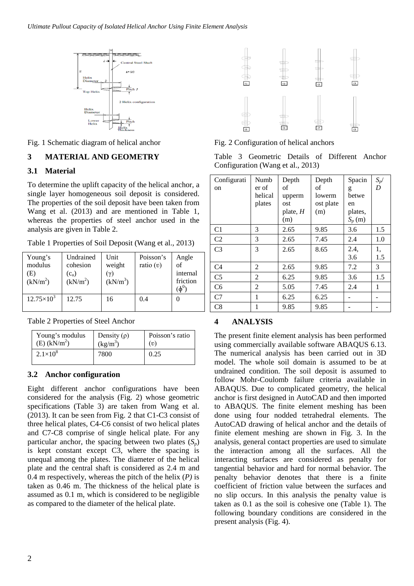

Fig. 1 Schematic diagram of helical anchor

# **3 MATERIAL AND GEOMETRY**

#### **3.1 Material**

To determine the uplift capacity of the helical anchor, a single layer homogeneous soil deposit is considered. The properties of the soil deposit have been taken from Wang et al. (2013) and are mentioned in Table 1, whereas the properties of steel anchor used in the analysis are given in Table 2.

Table 1 Properties of Soil Deposit (Wang et al., 2013)

| Young's<br>modulus<br>(E)<br>(kN/m <sup>2</sup> ) | Undrained<br>cohesion<br>$(c_u)$<br>(kN/m <sup>2</sup> ) | Unit<br>weight<br>$(\gamma)$<br>$(kN/m^3)$ | Poisson's<br>ratio $(v)$ | Angle<br>of<br>internal<br>friction<br>$(\phi^0)$ |
|---------------------------------------------------|----------------------------------------------------------|--------------------------------------------|--------------------------|---------------------------------------------------|
| $12.75\times10^{3}$                               | 12.75                                                    | 16                                         | 0.4                      |                                                   |

Table 2 Properties of Steel Anchor

| Young's modulus   | Density $(\rho)$ | Poisson's ratio |
|-------------------|------------------|-----------------|
| (E) $(kN/m^2)$    | $(kg/m^3)$       | (v)             |
| $2.1 \times 10^8$ | 7800             | 0.25            |

#### **3.2 Anchor configuration**

Eight different anchor configurations have been considered for the analysis (Fig. 2) whose geometric specifications (Table 3) are taken from Wang et al. (2013). It can be seen from Fig. 2 that C1-C3 consist of three helical plates, C4-C6 consist of two helical plates and C7-C8 comprise of single helical plate. For any particular anchor, the spacing between two plates  $(S_n)$ is kept constant except C3, where the spacing is unequal among the plates. The diameter of the helical plate and the central shaft is considered as 2.4 m and 0.4 m respectively, whereas the pitch of the helix (*P)* is taken as 0.46 m. The thickness of the helical plate is assumed as 0.1 m, which is considered to be negligible as compared to the diameter of the helical plate.



Fig. 2 Configuration of helical anchors

Table 3 Geometric Details of Different Anchor Configuration (Wang et al., 2013)

| Configurati    | Numb           | Depth      | Depth     | Spacin   | $S_{p}$ / |
|----------------|----------------|------------|-----------|----------|-----------|
| on             | er of          | of         | of        | g        | D         |
|                | helical        | upperm     | lowerm    | betwe    |           |
|                | plates         | ost        | ost plate | en       |           |
|                |                | plate, $H$ | (m)       | plates,  |           |
|                |                | (m)        |           | $S_p(m)$ |           |
| C <sub>1</sub> | 3              | 2.65       | 9.85      | 3.6      | 1.5       |
| C <sub>2</sub> | 3              | 2.65       | 7.45      | 2.4      | 1.0       |
| C <sub>3</sub> | 3              | 2.65       | 8.65      | 2.4.     | 1,        |
|                |                |            |           | 3.6      | 1.5       |
| C <sub>4</sub> | 2              | 2.65       | 9.85      | 7.2      | 3         |
| C <sub>5</sub> | 2              | 6.25       | 9.85      | 3.6      | 1.5       |
| C <sub>6</sub> | $\overline{c}$ | 5.05       | 7.45      | 2.4      | 1         |
| C7             | 1              | 6.25       | 6.25      |          |           |
| C8             | 1              | 9.85       | 9.85      |          |           |

# **4 ANALYSIS**

The present finite element analysis has been performed using commercially available software ABAQUS 6.13. The numerical analysis has been carried out in 3D model. The whole soil domain is assumed to be at undrained condition. The soil deposit is assumed to follow Mohr-Coulomb failure criteria available in ABAQUS. Due to complicated geometry, the helical anchor is first designed in AutoCAD and then imported to ABAQUS. The finite element meshing has been done using four nodded tetrahedral elements. The AutoCAD drawing of helical anchor and the details of finite element meshing are shown in Fig. 3. In the analysis, general contact properties are used to simulate the interaction among all the surfaces. All the interacting surfaces are considered as penalty for tangential behavior and hard for normal behavior. The penalty behavior denotes that there is a finite coefficient of friction value between the surfaces and no slip occurs. In this analysis the penalty value is taken as 0.1 as the soil is cohesive one (Table 1). The following boundary conditions are considered in the present analysis (Fig. 4).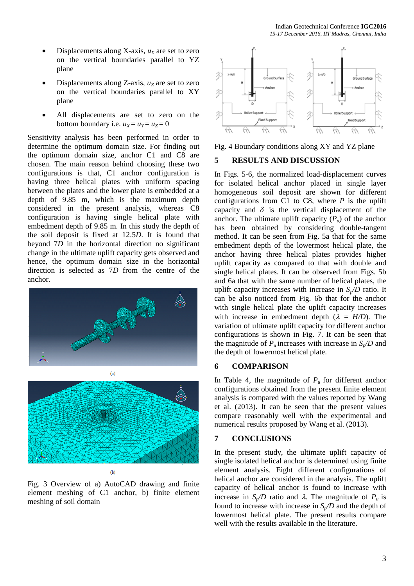- Displacements along X-axis,  $u_x$  are set to zero on the vertical boundaries parallel to YZ plane
- Displacements along Z-axis,  $u<sub>Z</sub>$  are set to zero on the vertical boundaries parallel to XY plane
- All displacements are set to zero on the bottom boundary i.e.  $u_x = u_y = u_z = 0$

Sensitivity analysis has been performed in order to determine the optimum domain size. For finding out the optimum domain size, anchor C1 and C8 are chosen. The main reason behind choosing these two configurations is that, C1 anchor configuration is having three helical plates with uniform spacing between the plates and the lower plate is embedded at a depth of 9.85 m, which is the maximum depth considered in the present analysis, whereas C8 configuration is having single helical plate with embedment depth of 9.85 m. In this study the depth of the soil deposit is fixed at 12.5*D*. It is found that beyond 7*D* in the horizontal direction no significant change in the ultimate uplift capacity gets observed and hence, the optimum domain size in the horizontal direction is selected as 7*D* from the centre of the anchor.





Fig. 3 Overview of a) AutoCAD drawing and finite element meshing of C1 anchor, b) finite element meshing of soil domain



Fig. 4 Boundary conditions along XY and YZ plane

# **5 RESULTS AND DISCUSSION**

In Figs. 5-6, the normalized load-displacement curves for isolated helical anchor placed in single layer homogeneous soil deposit are shown for different configurations from C1 to C8, where  $P$  is the uplift capacity and  $\delta$  is the vertical displacement of the anchor. The ultimate uplift capacity  $(P_u)$  of the anchor has been obtained by considering double-tangent method. It can be seen from Fig. 5a that for the same embedment depth of the lowermost helical plate, the anchor having three helical plates provides higher uplift capacity as compared to that with double and single helical plates. It can be observed from Figs. 5b and 6a that with the same number of helical plates, the uplift capacity increases with increase in  $S_n/D$  ratio. It can be also noticed from Fig. 6b that for the anchor with single helical plate the uplift capacity increases with increase in embedment depth  $(\lambda = H/D)$ . The variation of ultimate uplift capacity for different anchor configurations is shown in Fig. 7. It can be seen that the magnitude of  $P_u$  increases with increase in  $S_u/D$  and the depth of lowermost helical plate.

# **6 COMPARISON**

In Table 4, the magnitude of  $P_u$  for different anchor configurations obtained from the present finite element analysis is compared with the values reported by Wang et al. (2013). It can be seen that the present values compare reasonably well with the experimental and numerical results proposed by Wang et al. (2013).

# **7 CONCLUSIONS**

In the present study, the ultimate uplift capacity of single isolated helical anchor is determined using finite element analysis. Eight different configurations of helical anchor are considered in the analysis. The uplift capacity of helical anchor is found to increase with increase in  $S_p/D$  ratio and  $\lambda$ . The magnitude of  $P_u$  is found to increase with increase in  $S_p/D$  and the depth of lowermost helical plate. The present results compare well with the results available in the literature.